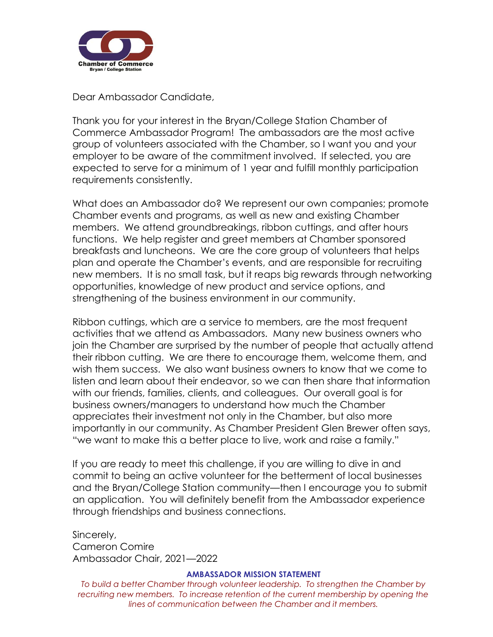

Dear Ambassador Candidate,

Thank you for your interest in the Bryan/College Station Chamber of Commerce Ambassador Program! The ambassadors are the most active group of volunteers associated with the Chamber, so I want you and your employer to be aware of the commitment involved. If selected, you are expected to serve for a minimum of 1 year and fulfill monthly participation requirements consistently.

What does an Ambassador do? We represent our own companies; promote Chamber events and programs, as well as new and existing Chamber members. We attend groundbreakings, ribbon cuttings, and after hours functions. We help register and greet members at Chamber sponsored breakfasts and luncheons. We are the core group of volunteers that helps plan and operate the Chamber's events, and are responsible for recruiting new members. It is no small task, but it reaps big rewards through networking opportunities, knowledge of new product and service options, and strengthening of the business environment in our community.

Ribbon cuttings, which are a service to members, are the most frequent activities that we attend as Ambassadors. Many new business owners who join the Chamber are surprised by the number of people that actually attend their ribbon cutting. We are there to encourage them, welcome them, and wish them success. We also want business owners to know that we come to listen and learn about their endeavor, so we can then share that information with our friends, families, clients, and colleagues. Our overall goal is for business owners/managers to understand how much the Chamber appreciates their investment not only in the Chamber, but also more importantly in our community. As Chamber President Glen Brewer often says, "we want to make this a better place to live, work and raise a family."

If you are ready to meet this challenge, if you are willing to dive in and commit to being an active volunteer for the betterment of local businesses and the Bryan/College Station community—then I encourage you to submit an application. You will definitely benefit from the Ambassador experience through friendships and business connections.

Sincerely, Cameron Comire Ambassador Chair, 2021—2022

### **AMBASSADOR MISSION STATEMENT**

*To build a better Chamber through volunteer leadership. To strengthen the Chamber by*  recruiting new members. To increase retention of the current membership by opening the *lines of communication between the Chamber and it members.*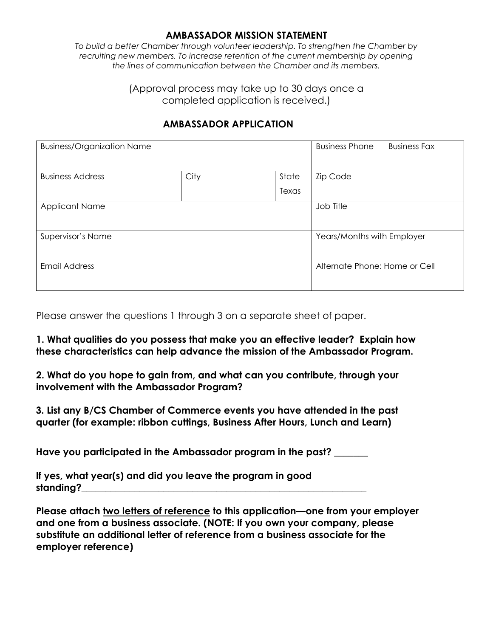## **AMBASSADOR MISSION STATEMENT**

*To build a better Chamber through volunteer leadership. To strengthen the Chamber by recruiting new members. To increase retention of the current membership by opening the lines of communication between the Chamber and its members.*

> (Approval process may take up to 30 days once a completed application is received.)

## **AMBASSADOR APPLICATION**

| <b>Business/Organization Name</b> |      |       | <b>Business Phone</b>         | <b>Business Fax</b> |
|-----------------------------------|------|-------|-------------------------------|---------------------|
| <b>Business Address</b>           | City | State | <b>Zip Code</b>               |                     |
|                                   |      | Texas |                               |                     |
| <b>Applicant Name</b>             |      |       | Job Title                     |                     |
| Supervisor's Name                 |      |       | Years/Months with Employer    |                     |
| <b>Email Address</b>              |      |       | Alternate Phone: Home or Cell |                     |

Please answer the questions 1 through 3 on a separate sheet of paper.

**1. What qualities do you possess that make you an effective leader? Explain how these characteristics can help advance the mission of the Ambassador Program.**

**2. What do you hope to gain from, and what can you contribute, through your involvement with the Ambassador Program?**

**3. List any B/CS Chamber of Commerce events you have attended in the past quarter (for example: ribbon cuttings, Business After Hours, Lunch and Learn)**

**Have you participated in the Ambassador program in the past? \_\_\_\_\_\_\_** 

**If yes, what year(s) and did you leave the program in good standing?\_\_\_\_\_\_\_\_\_\_\_\_\_\_\_\_\_\_\_\_\_\_\_\_\_\_\_\_\_\_\_\_\_\_\_\_\_\_\_\_\_\_\_\_\_\_\_\_\_\_\_\_\_\_\_\_\_\_\_**

**Please attach two letters of reference to this application—one from your employer and one from a business associate. (NOTE: If you own your company, please substitute an additional letter of reference from a business associate for the employer reference)**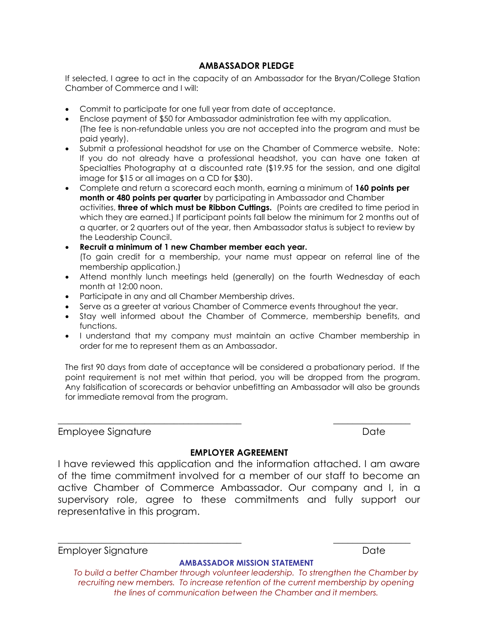## **AMBASSADOR PLEDGE**

If selected, I agree to act in the capacity of an Ambassador for the Bryan/College Station Chamber of Commerce and I will:

- Commit to participate for one full year from date of acceptance.
- Enclose payment of \$50 for Ambassador administration fee with my application. (The fee is non-refundable unless you are not accepted into the program and must be paid yearly).
- Submit a professional headshot for use on the Chamber of Commerce website. Note: If you do not already have a professional headshot, you can have one taken at Specialties Photography at a discounted rate (\$19.95 for the session, and one digital image for \$15 or all images on a CD for \$30).
- Complete and return a scorecard each month, earning a minimum of **160 points per month or 480 points per quarter** by participating in Ambassador and Chamber activities, **three of which must be Ribbon Cuttings.** (Points are credited to time period in which they are earned.) If participant points fall below the minimum for 2 months out of a quarter, or 2 quarters out of the year, then Ambassador status is subject to review by the Leadership Council.
- **Recruit a minimum of 1 new Chamber member each year.** (To gain credit for a membership, your name must appear on referral line of the membership application.)
- Attend monthly lunch meetings held (generally) on the fourth Wednesday of each month at 12:00 noon.
- Participate in any and all Chamber Membership drives.
- Serve as a greeter at various Chamber of Commerce events throughout the year.
- Stay well informed about the Chamber of Commerce, membership benefits, and functions.
- I understand that my company must maintain an active Chamber membership in order for me to represent them as an Ambassador.

The first 90 days from date of acceptance will be considered a probationary period. If the point requirement is not met within that period, you will be dropped from the program. Any falsification of scorecards or behavior unbefitting an Ambassador will also be grounds for immediate removal from the program.

Employee Signature **Date** Date Date **Date** 

#### **EMPLOYER AGREEMENT**

\_\_\_\_\_\_\_\_\_\_\_\_\_\_\_\_\_\_\_\_\_\_\_\_\_\_\_\_\_\_\_\_\_\_\_\_\_\_ \_\_\_\_\_\_\_\_\_\_\_\_\_\_\_\_

I have reviewed this application and the information attached. I am aware of the time commitment involved for a member of our staff to become an active Chamber of Commerce Ambassador. Our company and I, in a supervisory role, agree to these commitments and fully support our representative in this program.

\_\_\_\_\_\_\_\_\_\_\_\_\_\_\_\_\_\_\_\_\_\_\_\_\_\_\_\_\_\_\_\_\_\_\_\_\_\_ \_\_\_\_\_\_\_\_\_\_\_\_\_\_\_\_

Employer Signature **Date** Date Date **Date** 

#### **AMBASSADOR MISSION STATEMENT**

*To build a better Chamber through volunteer leadership. To strengthen the Chamber by recruiting new members. To increase retention of the current membership by opening the lines of communication between the Chamber and it members.*